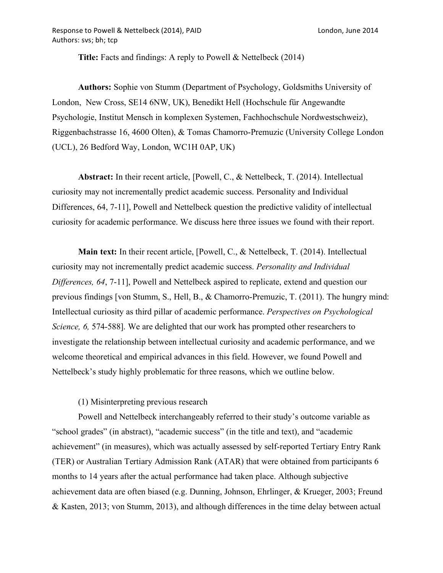**Title:** Facts and findings: A reply to Powell & Nettelbeck (2014)

**Authors:** Sophie von Stumm (Department of Psychology, Goldsmiths University of London, New Cross, SE14 6NW, UK), Benedikt Hell (Hochschule für Angewandte Psychologie, Institut Mensch in komplexen Systemen, Fachhochschule Nordwestschweiz), Riggenbachstrasse 16, 4600 Olten), & Tomas Chamorro-Premuzic (University College London (UCL), 26 Bedford Way, London, WC1H 0AP, UK)

**Abstract:** In their recent article, [Powell, C., & Nettelbeck, T. (2014). Intellectual curiosity may not incrementally predict academic success. Personality and Individual Differences, 64, 7-11], Powell and Nettelbeck question the predictive validity of intellectual curiosity for academic performance. We discuss here three issues we found with their report.

**Main text:** In their recent article, [Powell, C., & Nettelbeck, T. (2014). Intellectual curiosity may not incrementally predict academic success. *Personality and Individual Differences, 64*, 7-11], Powell and Nettelbeck aspired to replicate, extend and question our previous findings [von Stumm, S., Hell, B., & Chamorro-Premuzic, T. (2011). The hungry mind: Intellectual curiosity as third pillar of academic performance. *Perspectives on Psychological Science, 6,* 574-588]. We are delighted that our work has prompted other researchers to investigate the relationship between intellectual curiosity and academic performance, and we welcome theoretical and empirical advances in this field. However, we found Powell and Nettelbeck's study highly problematic for three reasons, which we outline below.

(1) Misinterpreting previous research

Powell and Nettelbeck interchangeably referred to their study's outcome variable as "school grades" (in abstract), "academic success" (in the title and text), and "academic achievement" (in measures), which was actually assessed by self-reported Tertiary Entry Rank (TER) or Australian Tertiary Admission Rank (ATAR) that were obtained from participants 6 months to 14 years after the actual performance had taken place. Although subjective achievement data are often biased (e.g. Dunning, Johnson, Ehrlinger, & Krueger, 2003; Freund & Kasten, 2013; von Stumm, 2013), and although differences in the time delay between actual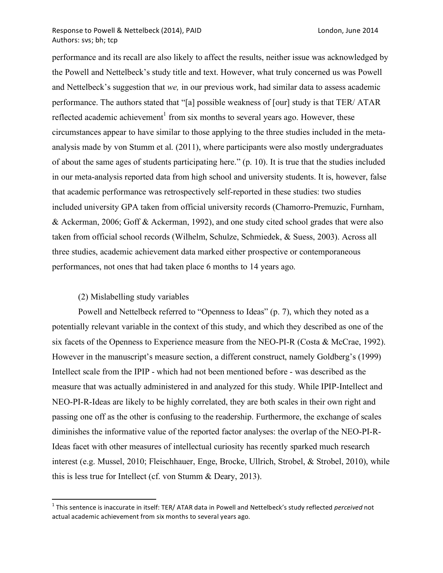#### Response to Powell & Nettelbeck (2014), PAID London, June 2014 Authors: svs; bh; tcp

performance and its recall are also likely to affect the results, neither issue was acknowledged by the Powell and Nettelbeck's study title and text. However, what truly concerned us was Powell and Nettelbeck's suggestion that *we,* in our previous work, had similar data to assess academic performance. The authors stated that "[a] possible weakness of [our] study is that TER/ ATAR reflected academic achievement<sup>1</sup> from six months to several years ago. However, these circumstances appear to have similar to those applying to the three studies included in the metaanalysis made by von Stumm et al. (2011), where participants were also mostly undergraduates of about the same ages of students participating here." (p. 10). It is true that the studies included in our meta-analysis reported data from high school and university students. It is, however, false that academic performance was retrospectively self-reported in these studies: two studies included university GPA taken from official university records (Chamorro-Premuzic, Furnham, & Ackerman, 2006; Goff & Ackerman, 1992), and one study cited school grades that were also taken from official school records (Wilhelm, Schulze, Schmiedek, & Suess, 2003). Across all three studies, academic achievement data marked either prospective or contemporaneous performances, not ones that had taken place 6 months to 14 years ago.

### (2) Mislabelling study variables

Powell and Nettelbeck referred to "Openness to Ideas" (p. 7), which they noted as a potentially relevant variable in the context of this study, and which they described as one of the six facets of the Openness to Experience measure from the NEO-PI-R (Costa & McCrae, 1992). However in the manuscript's measure section, a different construct, namely Goldberg's (1999) Intellect scale from the IPIP - which had not been mentioned before - was described as the measure that was actually administered in and analyzed for this study. While IPIP-Intellect and NEO-PI-R-Ideas are likely to be highly correlated, they are both scales in their own right and passing one off as the other is confusing to the readership. Furthermore, the exchange of scales diminishes the informative value of the reported factor analyses: the overlap of the NEO-PI-R-Ideas facet with other measures of intellectual curiosity has recently sparked much research interest (e.g. Mussel, 2010; Fleischhauer, Enge, Brocke, Ullrich, Strobel, & Strobel, 2010), while this is less true for Intellect (cf. von Stumm & Deary, 2013).

<sup>&</sup>lt;sup>1</sup> This sentence is inaccurate in itself: TER/ ATAR data in Powell and Nettelbeck's study reflected *perceived* not actual academic achievement from six months to several years ago.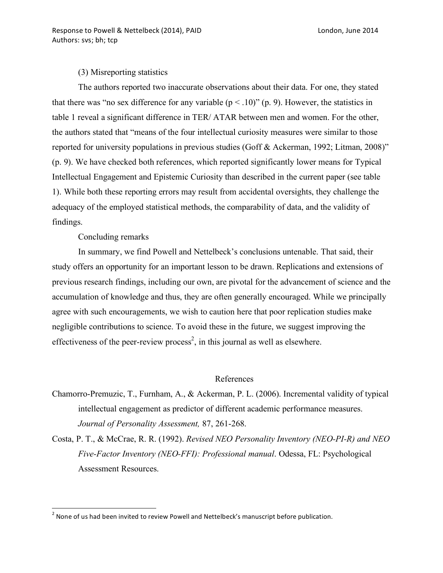### (3) Misreporting statistics

The authors reported two inaccurate observations about their data. For one, they stated that there was "no sex difference for any variable  $(p < .10)$ " (p. 9). However, the statistics in table 1 reveal a significant difference in TER/ ATAR between men and women. For the other, the authors stated that "means of the four intellectual curiosity measures were similar to those reported for university populations in previous studies (Goff & Ackerman, 1992; Litman, 2008)" (p. 9). We have checked both references, which reported significantly lower means for Typical Intellectual Engagement and Epistemic Curiosity than described in the current paper (see table 1). While both these reporting errors may result from accidental oversights, they challenge the adequacy of the employed statistical methods, the comparability of data, and the validity of findings.

# Concluding remarks

In summary, we find Powell and Nettelbeck's conclusions untenable. That said, their study offers an opportunity for an important lesson to be drawn. Replications and extensions of previous research findings, including our own, are pivotal for the advancement of science and the accumulation of knowledge and thus, they are often generally encouraged. While we principally agree with such encouragements, we wish to caution here that poor replication studies make negligible contributions to science. To avoid these in the future, we suggest improving the effectiveness of the peer-review process<sup>2</sup>, in this journal as well as elsewhere.

## References

- Chamorro-Premuzic, T., Furnham, A., & Ackerman, P. L. (2006). Incremental validity of typical intellectual engagement as predictor of different academic performance measures. *Journal of Personality Assessment,* 87, 261-268.
- Costa, P. T., & McCrae, R. R. (1992). *Revised NEO Personality Inventory (NEO-PI-R) and NEO Five-Factor Inventory (NEO-FFI): Professional manual*. Odessa, FL: Psychological Assessment Resources.

 $^2$  None of us had been invited to review Powell and Nettelbeck's manuscript before publication.